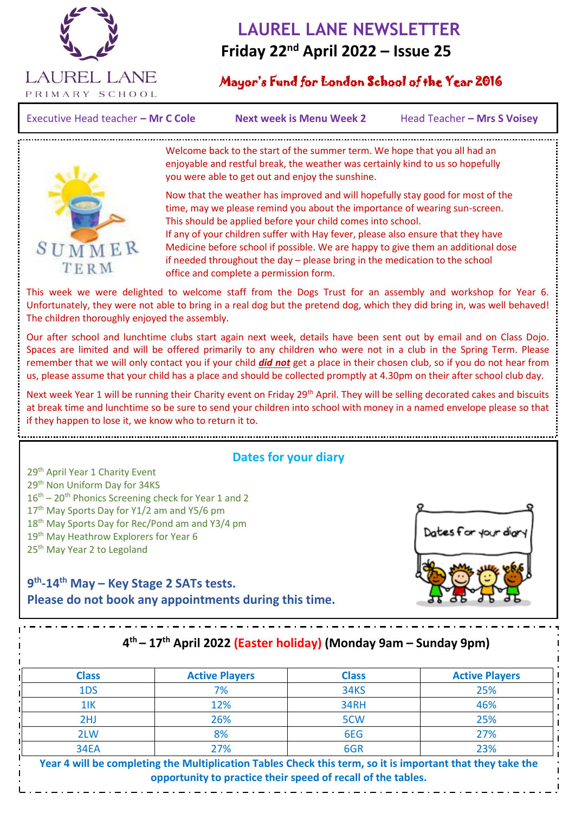

# **LAUREL LANE NEWSLETTER Friday 22nd April 2022 – Issue 25**

## Mayor's Fund for London School of the Year 2016

Executive Head teacher – Mr C Cole **Next week is Menu Week 2** Head Teacher – Mrs S Voisey

 $\overline{a}$ 



Welcome back to the start of the summer term. We hope that you all had an enjoyable and restful break, the weather was certainly kind to us so hopefully you were able to get out and enjoy the sunshine.

Now that the weather has improved and will hopefully stay good for most of the time, may we please remind you about the importance of wearing sun-screen. This should be applied before your child comes into school. If any of your children suffer with Hay fever, please also ensure that they have Medicine before school if possible. We are happy to give them an additional dose if needed throughout the day – please bring in the medication to the school office and complete a permission form.

This week we were delighted to welcome staff from the Dogs Trust for an assembly and workshop for Year 6. Unfortunately, they were not able to bring in a real dog but the pretend dog, which they did bring in, was well behaved! The children thoroughly enjoyed the assembly.

Our after school and lunchtime clubs start again next week, details have been sent out by email and on Class Dojo. Spaces are limited and will be offered primarily to any children who were not in a club in the Spring Term. Please remember that we will only contact you if your child *did not* get a place in their chosen club, so if you do not hear from us, please assume that your child has a place and should be collected promptly at 4.30pm on their after school club day.

Next week Year 1 will be running their Charity event on Friday 29<sup>th</sup> April. They will be selling decorated cakes and biscuits at break time and lunchtime so be sure to send your children into school with money in a named envelope please so that if they happen to lose it, we know who to return it to.

#### **Dates for your diary**

29<sup>th</sup> April Year 1 Charity Event 29<sup>th</sup> Non Uniform Day for 34KS  $16<sup>th</sup> - 20<sup>th</sup>$  Phonics Screening check for Year 1 and 2 17<sup>th</sup> May Sports Day for Y1/2 am and Y5/6 pm 18<sup>th</sup> May Sports Day for Rec/Pond am and Y3/4 pm 19<sup>th</sup> May Heathrow Explorers for Year 6 25<sup>th</sup> May Year 2 to Legoland



### **9 th -14th May – Key Stage 2 SATs tests. Please do not book any appointments during this time.**

# **4 th – 17th April 2022 (Easter holiday) (Monday 9am – Sunday 9pm)**

| <b>Class</b> | <b>Active Players</b> | <b>Class</b> | <b>Active Players</b> |
|--------------|-----------------------|--------------|-----------------------|
| 1DS          | 7%                    | <b>34KS</b>  | 25%                   |
| $1$ IK       | 12%                   | 34RH         | 46%                   |
| 2HJ          | 26%                   | 5CW          | 25%                   |
| 2LW          | 8%                    | 6EG          | 27%                   |
| <b>34EA</b>  | 27%                   | 6GR          | 23%                   |

**Year 4 will be completing the Multiplication Tables Check this term, so it is important that they take the opportunity to practice their speed of recall of the tables.**